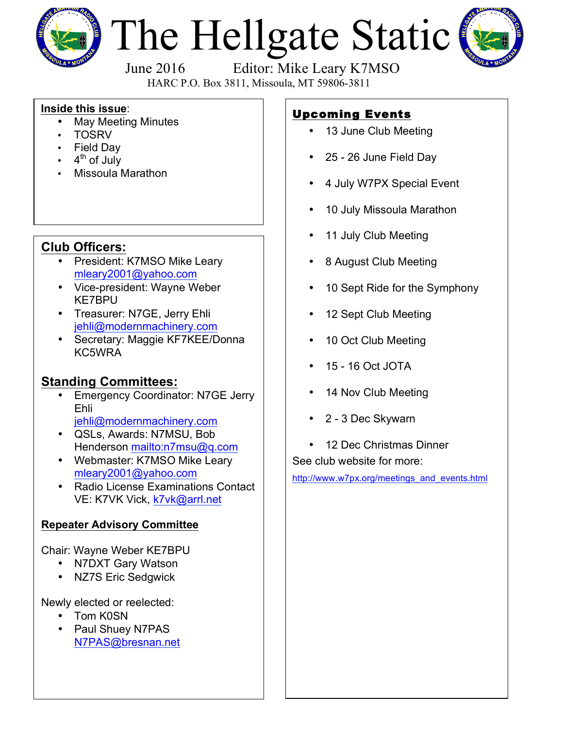

# The Hellgate Static



June 2016 Editor: Mike Leary K7MSO

HARC P.O. Box 3811, Missoula, MT 59806-3811

#### **Inside this issue**:

- May Meeting Minutes
- TOSRV
- Field Day
- $4<sup>th</sup>$  of July
- Missoula Marathon

## **Club Officers:**

- President: K7MSO Mike Leary mleary2001@yahoo.com
- Vice-president: Wayne Weber KE7BPU
- Treasurer: N7GE, Jerry Ehli jehli@modernmachinery.com
- Secretary: Maggie KF7KEE/Donna KC5WRA

## **Standing Committees:**

- Emergency Coordinator: N7GE Jerry Ehli jehli@modernmachinery.com
- QSLs, Awards: N7MSU, Bob Henderson mailto:n7msu@q.com
- Webmaster: K7MSO Mike Leary mleary2001@yahoo.com
- Radio License Examinations Contact VE: K7VK Vick, k7vk@arrl.net

#### **Repeater Advisory Committee**

Chair: Wayne Weber KE7BPU

- N7DXT Gary Watson
- NZ7S Eric Sedgwick

Newly elected or reelected:

- Tom K0SN
- Paul Shuey N7PAS N7PAS@bresnan.net

# Upcoming Events

- 13 June Club Meeting
- 25 26 June Field Day
- 4 July W7PX Special Event
- 10 July Missoula Marathon
- 11 July Club Meeting
- 8 August Club Meeting
- 10 Sept Ride for the Symphony
- 12 Sept Club Meeting
- 10 Oct Club Meeting
- 15 16 Oct JOTA
- 14 Nov Club Meeting
- 2 3 Dec Skywarn
- 12 Dec Christmas Dinner See club website for more:

http://www.w7px.org/meetings\_and\_events.html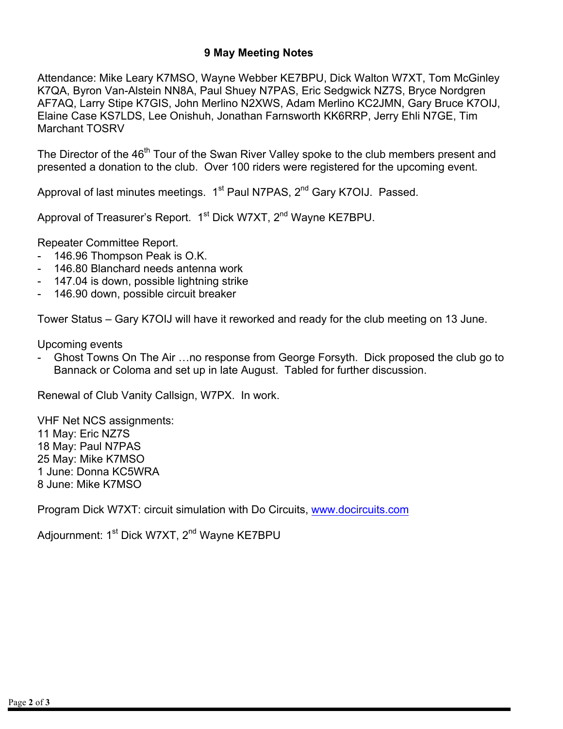#### **9 May Meeting Notes**

Attendance: Mike Leary K7MSO, Wayne Webber KE7BPU, Dick Walton W7XT, Tom McGinley K7QA, Byron Van-Alstein NN8A, Paul Shuey N7PAS, Eric Sedgwick NZ7S, Bryce Nordgren AF7AQ, Larry Stipe K7GIS, John Merlino N2XWS, Adam Merlino KC2JMN, Gary Bruce K7OIJ, Elaine Case KS7LDS, Lee Onishuh, Jonathan Farnsworth KK6RRP, Jerry Ehli N7GE, Tim Marchant TOSRV

The Director of the 46<sup>th</sup> Tour of the Swan River Valley spoke to the club members present and presented a donation to the club. Over 100 riders were registered for the upcoming event.

Approval of last minutes meetings.  $1<sup>st</sup>$  Paul N7PAS,  $2<sup>nd</sup>$  Gary K7OIJ. Passed.

Approval of Treasurer's Report. 1<sup>st</sup> Dick W7XT, 2<sup>nd</sup> Wayne KE7BPU.

Repeater Committee Report.

- 146.96 Thompson Peak is O.K.
- 146.80 Blanchard needs antenna work
- 147.04 is down, possible lightning strike
- 146.90 down, possible circuit breaker

Tower Status – Gary K7OIJ will have it reworked and ready for the club meeting on 13 June.

Upcoming events

- Ghost Towns On The Air …no response from George Forsyth. Dick proposed the club go to Bannack or Coloma and set up in late August. Tabled for further discussion.

Renewal of Club Vanity Callsign, W7PX. In work.

VHF Net NCS assignments: 11 May: Eric NZ7S 18 May: Paul N7PAS 25 May: Mike K7MSO 1 June: Donna KC5WRA 8 June: Mike K7MSO

Program Dick W7XT: circuit simulation with Do Circuits, www.docircuits.com

Adjournment: 1<sup>st</sup> Dick W7XT, 2<sup>nd</sup> Wayne KE7BPU